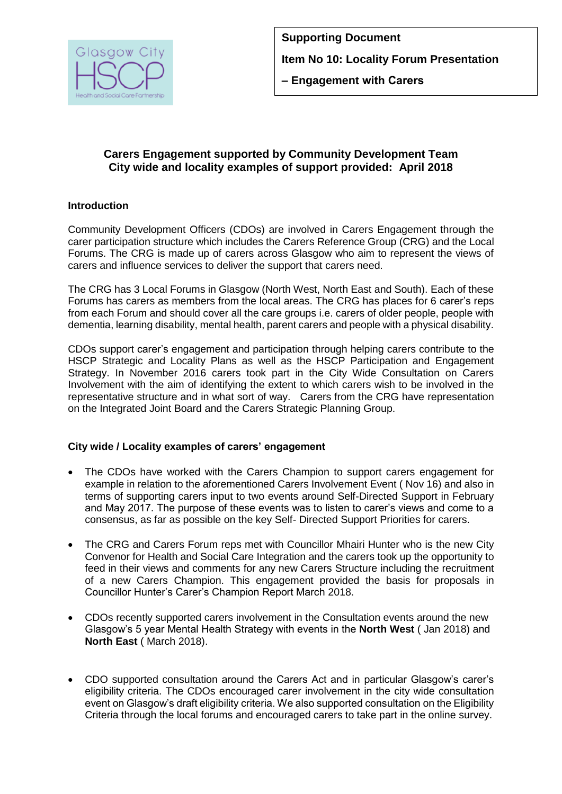

# **Carers Engagement supported by Community Development Team City wide and locality examples of support provided: April 2018**

## **Introduction**

Community Development Officers (CDOs) are involved in Carers Engagement through the carer participation structure which includes the Carers Reference Group (CRG) and the Local Forums. The CRG is made up of carers across Glasgow who aim to represent the views of carers and influence services to deliver the support that carers need.

The CRG has 3 Local Forums in Glasgow (North West, North East and South). Each of these Forums has carers as members from the local areas. The CRG has places for 6 carer's reps from each Forum and should cover all the care groups i.e. carers of older people, people with dementia, learning disability, mental health, parent carers and people with a physical disability.

CDOs support carer's engagement and participation through helping carers contribute to the HSCP Strategic and Locality Plans as well as the HSCP Participation and Engagement Strategy. In November 2016 carers took part in the City Wide Consultation on Carers Involvement with the aim of identifying the extent to which carers wish to be involved in the representative structure and in what sort of way. Carers from the CRG have representation on the Integrated Joint Board and the Carers Strategic Planning Group.

## **City wide / Locality examples of carers' engagement**

- The CDOs have worked with the Carers Champion to support carers engagement for example in relation to the aforementioned Carers Involvement Event ( Nov 16) and also in terms of supporting carers input to two events around Self-Directed Support in February and May 2017. The purpose of these events was to listen to carer's views and come to a consensus, as far as possible on the key Self- Directed Support Priorities for carers.
- The CRG and Carers Forum reps met with Councillor Mhairi Hunter who is the new City Convenor for Health and Social Care Integration and the carers took up the opportunity to feed in their views and comments for any new Carers Structure including the recruitment of a new Carers Champion. This engagement provided the basis for proposals in Councillor Hunter's Carer's Champion Report March 2018.
- CDOs recently supported carers involvement in the Consultation events around the new Glasgow's 5 year Mental Health Strategy with events in the **North West** ( Jan 2018) and **North East** ( March 2018).
- CDO supported consultation around the Carers Act and in particular Glasgow's carer's eligibility criteria. The CDOs encouraged carer involvement in the city wide consultation event on Glasgow's draft eligibility criteria. We also supported consultation on the Eligibility Criteria through the local forums and encouraged carers to take part in the online survey.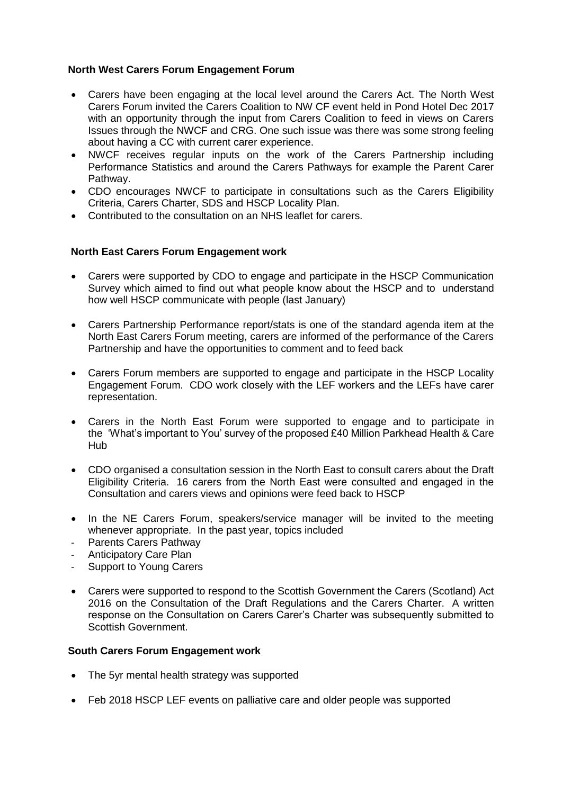#### **North West Carers Forum Engagement Forum**

- Carers have been engaging at the local level around the Carers Act. The North West Carers Forum invited the Carers Coalition to NW CF event held in Pond Hotel Dec 2017 with an opportunity through the input from Carers Coalition to feed in views on Carers Issues through the NWCF and CRG. One such issue was there was some strong feeling about having a CC with current carer experience.
- NWCF receives regular inputs on the work of the Carers Partnership including Performance Statistics and around the Carers Pathways for example the Parent Carer Pathway.
- CDO encourages NWCF to participate in consultations such as the Carers Eligibility Criteria, Carers Charter, SDS and HSCP Locality Plan.
- Contributed to the consultation on an NHS leaflet for carers.

### **North East Carers Forum Engagement work**

- Carers were supported by CDO to engage and participate in the HSCP Communication Survey which aimed to find out what people know about the HSCP and to understand how well HSCP communicate with people (last January)
- Carers Partnership Performance report/stats is one of the standard agenda item at the North East Carers Forum meeting, carers are informed of the performance of the Carers Partnership and have the opportunities to comment and to feed back
- Carers Forum members are supported to engage and participate in the HSCP Locality Engagement Forum. CDO work closely with the LEF workers and the LEFs have carer representation.
- Carers in the North East Forum were supported to engage and to participate in the 'What's important to You' survey of the proposed £40 Million Parkhead Health & Care Hub
- CDO organised a consultation session in the North East to consult carers about the Draft Eligibility Criteria. 16 carers from the North East were consulted and engaged in the Consultation and carers views and opinions were feed back to HSCP
- In the NE Carers Forum, speakers/service manager will be invited to the meeting whenever appropriate. In the past year, topics included
- Parents Carers Pathway
- Anticipatory Care Plan
- Support to Young Carers
- Carers were supported to respond to the Scottish Government the Carers (Scotland) Act 2016 on the Consultation of the Draft Regulations and the Carers Charter. A written response on the Consultation on Carers Carer's Charter was subsequently submitted to Scottish Government.

#### **South Carers Forum Engagement work**

- The 5yr mental health strategy was supported
- Feb 2018 HSCP LEF events on palliative care and older people was supported